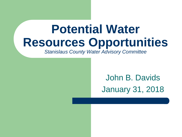### **Potential Water Resources Opportunities**

*Stanislaus County Water Advisory Committee*

John B. Davids January 31, 2018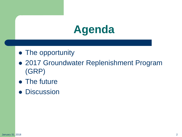### **Agenda**

- The opportunity
- 2017 Groundwater Replenishment Program (GRP)
- The future
- **Discussion**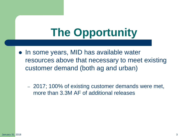## **The Opportunity**

• In some years, MID has available water resources above that necessary to meet existing customer demand (both ag and urban)

– 2017; 100% of existing customer demands were met, more than 3.3M AF of additional releases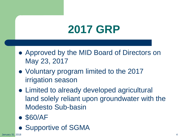### **2017 GRP**

- Approved by the MID Board of Directors on May 23, 2017
- Voluntary program limited to the 2017 irrigation season
- Limited to already developed agricultural land solely reliant upon groundwater with the Modesto Sub-basin
- \$60/AF
- Supportive of SGMA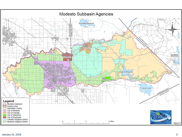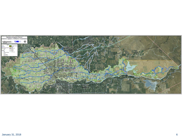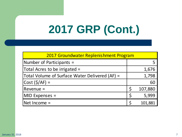# **2017 GRP (Cont.)**

| 2017 Groundwater Replenishment Program         |  |         |
|------------------------------------------------|--|---------|
| Number of Participants =                       |  |         |
| Total Acres to be irrigated =                  |  | 1,676   |
| Total Volume of Surface Water Delivered (AF) = |  | 1,798   |
| $\textsf{Cost}(\textsf{S}/\textsf{AF}) =$      |  | 60      |
| Revenue =                                      |  | 107,880 |
| MID Expenses =                                 |  | 5,999   |
| Net Income =                                   |  | 101,881 |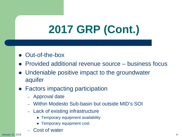# **2017 GRP (Cont.)**

- Out-of-the-box
- Provided additional revenue source business focus
- Undeniable positive impact to the groundwater aquifer
- Factors impacting participation
	- Approval date
	- Within Modesto Sub-basin but outside MID's SOI
	- Lack of existing infrastructure
		- Temporary equipment availability
		- Temporary equipment cost
	- Cost of water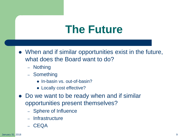#### **The Future**

- When and if similar opportunities exist in the future, what does the Board want to do?
	- Nothing
	- Something
		- In-basin vs. out-of-basin?
		- Locally cost effective?
- Do we want to be ready when and if similar opportunities present themselves?
	- Sphere of Influence
	- **Infrastructure**
	- CEQA